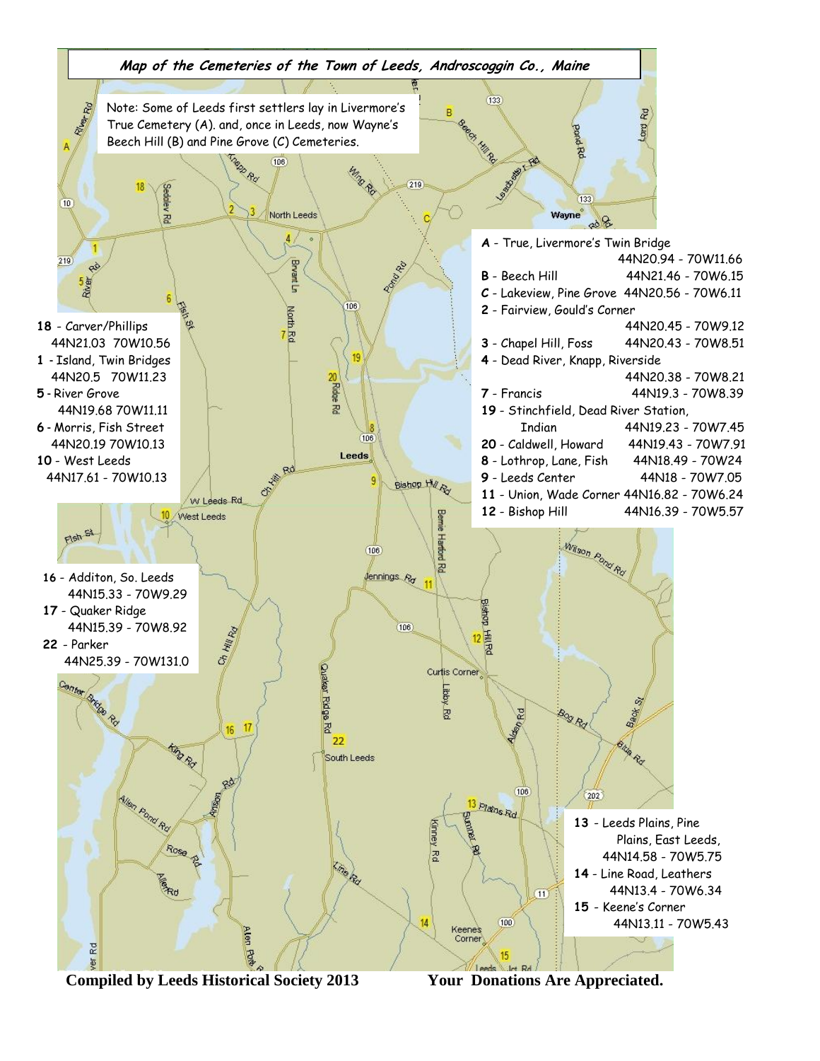

 **Compiled by Leeds Historical Society 2013 Your Donations Are Appreciated.**